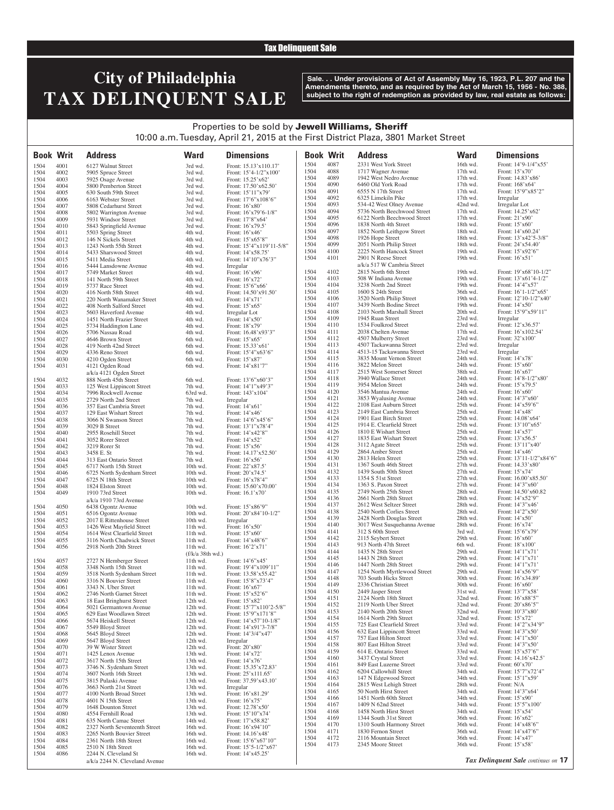## Tax Delinquent Sale

# **City of Philadelphia TAX DELINQUENT SALE**

**Sale. . . Under provisions of Act of Assembly May 16, 1923, P.L. 207 and the Amendments thereto, and as required by the Act of March 15, 1956 - No. 388, subject to the right of redemption as provided by law, real estate as follows:**

## Properties to be sold by Jewell Williams, Sheriff 10:00 a.m. Tuesday, April 21, 2015 at the First District Plaza, 3801 Market Street

| <b>Book Writ</b> |              | <b>Address</b>                                         | <b>Ward</b>          | <b>Dimensions</b>                            | <b>Book Writ</b> |              | <b>Address</b>                                          | <b>Ward</b>          | <b>Dimensions</b>                             |
|------------------|--------------|--------------------------------------------------------|----------------------|----------------------------------------------|------------------|--------------|---------------------------------------------------------|----------------------|-----------------------------------------------|
| 1504             | 4001         | 6127 Walnut Street                                     | 3rd wd.              | Front: 15.13'x110.17'                        | 1504             | 4087         | 2331 West York Street                                   | 16th wd.             | Front: 14'9-1/4"x55'                          |
| 1504             | 4002         | 5905 Spruce Street                                     | 3rd wd.              | Front: 15'4-1/2"x100'                        | 1504             | 4088         | 1717 Wagner Avenue                                      | 17th wd.             | Front: $15'x70'$                              |
| 1504             | 4003         | 5925 Osage Avenue                                      | 3rd wd.              | Front: 15.25'x62'                            | 1504             | 4089         | 1942 West Nedro Avenue                                  | $17th$ wd.           | Front: 14.83'x86'                             |
| 1504             | 4004         | 5800 Pemberton Street                                  | 3rd wd.              | Front: 17.50'x62.50'                         | 1504             | 4090         | 6460 Old York Road                                      | 17th wd.             | Front: 168'x64'                               |
| 1504             | 4005         | 630 South 59th Street                                  | 3rd wd.              | Front: 15'11"x79'                            | 1504             | 4091         | 6555 N 17th Street                                      | $17th$ wd.           | Front: 15'9"x85'2"                            |
| 1504             | 4006         | 6163 Webster Street                                    | 3rd wd.              | Front: $17'6''x108'6''$                      | 1504             | 4092<br>4093 | 6325 Limekiln Pike                                      | 17th wd.             | Irregular                                     |
| 1504             | 4007         | 5808 Cedarhurst Street                                 | 3rd wd.              | Front: 16'x80'                               | 1504<br>1504     | 4094         | 534-42 West Olney Avenue<br>5736 North Beechwood Street | 42nd wd.<br>17th wd. | Irregular Lot<br>Front: 14.25'x62'            |
| 1504<br>1504     | 4008<br>4009 | 5802 Warrington Avenue                                 | 3rd wd.<br>3rd wd.   | Front: 16'x79'6-1/8"<br>Front: 17'8"x64'     | 1504             | 4095         | 6122 North Beechwood Street                             | 17th wd.             | Front: $21'x90'$                              |
| 1504             | 4010         | 5931 Windsor Street<br>5843 Springfield Avenue         | 3rd wd.              | Front: 16'x79.5'                             | 1504             | 4096         | 1838 North 4th Street                                   | 18th wd.             | Front: $15'x60'$                              |
| 1504             | 4011         | 5503 Spring Street                                     | 4th wd.              | Front: 16'x46'                               | 1504             | 4097         | 1852 North Leithgow Street                              | 18th wd.             | Front: 14'x60.24'                             |
| 1504             | 4012         | 146 N Sickels Street                                   | 4th wd.              | Front: 15'x65'8"                             | 1504             | 4098         | 1926 Hope Street                                        | 18th wd.             | Front: 13'x42'5-3/8"                          |
| 1504             | 4013         | 1243 North 55th Street                                 | 4th wd.              | Front: 15'4"x119'11-5/8"                     | 1504             | 4099         | 2051 North Philip Street                                | 18th wd.             | Front: 24'x54.40'                             |
| 1504             | 4014         | 5433 Sharswood Street                                  | 4th wd.              | Front: 14'x58.75'                            | 1504             | 4100         | 2225 North Hancock Street                               | 19th wd.             | Front: 15'x92'6"                              |
| 1504             | 4015         | 5411 Media Street                                      | 4th wd.              | Front: 14'10"x76'3"                          | 1504             | 4101         | 2901 N Reese Street                                     | 19th wd.             | Front: $16'x51'$                              |
| 1504             | 4016         | 5444 Lansdowne Avenue                                  | 4th wd.              | Irregular                                    |                  |              | a/k/a 517 W Cambria Street                              |                      |                                               |
| 1504             | 4017         | 5749 Market Street                                     | 4th wd.              | Front: 16'x96'                               | 1504<br>1504     | 4102<br>4103 | 2815 North 6th Street<br>508 W Indiana Avenue           | 19th wd.<br>19th wd. | Front: 19'x68'10-1/2"<br>Front: 13'x61'4-1/2" |
| 1504<br>1504     | 4018<br>4019 | 141 North 59th Street<br>5737 Race Street              | 4th wd.<br>4th wd.   | Front: 16'x72'<br>Front: 15'6"x66'           | 1504             | 4104         | 3238 North 2nd Street                                   | 19th wd.             | Front: 14'4"x57'                              |
| 1504             | 4020         | 416 North 58th Street                                  | 4th wd.              | Front: 14.50'x91.50'                         | 1504             | 4105         | 1600 S 24th Street                                      | 36th wd.             | Front: $16'1-1/2''x65'$                       |
| 1504             | 4021         | 220 North Wanamaker Street                             | 4th wd.              | Front: 14'x71'                               | 1504             | 4106         | 3520 North Philip Street                                | 19th wd.             | Front: $12'10-1/2''x40'$                      |
| 1504             | 4022         | 408 North Salford Street                               | 4th wd.              | Front: $15'x65'$                             | 1504             | 4107         | 3439 North Bodine Street                                | 19th wd.             | Front: $14'x50'$                              |
| 1504             | 4023         | 5603 Haverford Avenue                                  | 4th wd.              | Irregular Lot                                | 1504             | 4108         | 2103 North Marshall Street                              | 20th wd.             | Front: 15'9"x59'11"                           |
| 1504             | 4024         | 1451 North Frazier Street                              | 4th wd.              | Front: $14'x50'$                             | 1504             | 4109         | 1945 Ruan Street                                        | 23rd wd.             | Irregular                                     |
| 1504             | 4025         | 5734 Haddington Lane                                   | 4th wd.              | Front: 18'x79'                               | 1504             | 4110         | 1534 Foulkrod Street                                    | 23rd wd.             | Front: 12'x36.57'                             |
| 1504             | 4026         | 5706 Nassau Road                                       | 4th wd.              | Front: 16.48'x93'3"                          | 1504             | 4111         | 2038 Chelten Avenue                                     | 17th wd.             | Front: 16'x102.54'                            |
| 1504             | 4027         | 4646 Brown Street                                      | 6th wd.              | Front: 15'x65'                               | 1504<br>1504     | 4112<br>4113 | 4507 Mulberry Street<br>4507 Tackawanna Street          | 23rd wd.<br>23rd wd. | Front: 32'x100'                               |
| 1504<br>1504     | 4028<br>4029 | 419 North 42nd Street<br>4336 Reno Street              | 6th wd.<br>6th wd.   | Front: 15.33'x61'<br>Front: 15'4"x63'6"      | 1504             | 4114         | 4513-15 Tackawanna Street                               | 23rd wd.             | Irregular<br>Irregular                        |
| 1504             | 4030         | 4210 Ogden Street                                      | 6th wd.              | Front: 15'x87'                               | 1504             | 4115         | 3835 Mount Vernon Street                                | 24th wd.             | Front: 14'x78'                                |
| 1504             | 4031         | 4121 Ogden Road                                        | 6th wd.              | Front: 14'x81'7"                             | 1504             | 4116         | 3822 Melon Street                                       | 24th wd.             | Front: $15'x60'$                              |
|                  |              | a/k/a 4121 Ogden Street                                |                      |                                              | 1504             | 4117         | 2515 West Somerset Street                               | 38th wd.             | Front: $16'x67'$                              |
| 1504             | 4032         | 888 North 45th Street                                  | 6th wd.              | Front: 13'6"x60'3"                           | 1504             | 4118         | 3940 Wallace Street                                     | 24th wd.             | Front: 14'8-1/2"x80'                          |
| 1504             | 4033         | 125 West Lippincott Street                             | 7th wd.              | Front: 14'1"x49'3"                           | 1504             | 4119         | 3954 Melon Street                                       | 24th wd.             | Front: 15'x79.5'                              |
| 1504             | 4034         | 7996 Rockwell Avenue                                   | 63rd wd.             | Front: 143'x104'                             | 1504             | 4120         | 3546 Mantua Avenue                                      | 24th wd.             | Front: $16'x60'$                              |
| 1504             | 4035         | 2729 North 2nd Street                                  | 7th wd.              | Irregular                                    | 1504             | 4121         | 3853 Wyalusing Avenue                                   | 24th wd.             | Front: $14'3''x60'$                           |
| 1504             | 4036         | 357 East Cambria Street                                | 7th wd.              | Front: $14'x61'$                             | 1504             | 4122         | 2108 East Auburn Street                                 | 25th wd.             | Front: $14'x59'6"$                            |
| 1504             | 4037         | 129 East Wishart Street                                | 7th wd.              | Front: 14'x46'                               | 1504<br>1504     | 4123<br>4124 | 2149 East Cambria Street<br>1901 East Birch Street      | 25th wd.<br>25th wd. | Front: 14'x48'<br>Front: 14.08'x64'           |
| 1504<br>1504     | 4038<br>4039 | 3066 N Swanson Street<br>3029 B Street                 | 7th wd.<br>7th wd.   | Front: $14'6''x45'6''$<br>Front: 13'1"x78'4" | 1504             | 4125         | 1914 E. Clearfield Street                               | 25th wd.             | Front: 13'10"x65'                             |
| 1504             | 4040         | 2955 Rosehill Street                                   | 7th wd.              | Front: 14'x42'8"                             | 1504             | 4126         | 1810 E Wishart Street                                   | 25th wd.             | Front: $14'x57'$                              |
| 1504             | 4041         | 3052 Rorer Street                                      | 7th wd.              | Front: 14'x52'                               | 1504             | 4127         | 1835 East Wishart Street                                | 25th wd.             | Front: 13'x56.5'                              |
| 1504             | 4042         | 3219 Rorer St                                          | 7th wd.              | Front: 15'x56'                               | 1504             | 4128         | 3112 Agate Street                                       | 25th wd.             | Front: 13'11"x40'                             |
| 1504             | 4043         | 3458 E. St                                             | 7th wd.              | Front: 14.17'x52.50'                         | 1504             | 4129         | 2864 Amber Street                                       | 25th wd.             | Front: 14'x46'                                |
| 1504             | 4044         | 313 East Ontario Street                                | 7th wd.              | Front: 16'x56'                               | 1504             | 4130         | 2813 Helen Street                                       | 25th wd.             | Front: 13'11-1/2"x84'6"                       |
| 1504             | 4045         | 6717 North 15th Street                                 | 10th wd.             | Front: 22'x87.5'                             | 1504             | 4131         | 1367 South 46th Street                                  | 27th wd.             | Front: 14.33'x80'                             |
| 1504             | 4046         | 6725 North Sydenham Street                             | 10th wd.             | Front: 20'x74.5'                             | 1504<br>1504     | 4132<br>4133 | 1439 South 50th Street                                  | 27th wd.<br>27th wd. | Front: 15'x74'                                |
| 1504             | 4047         | 6725 N 18th Street                                     | 10th wd.             | Front: $16'x78'4"$                           | 1504             | 4134         | 1354 S 51st Street<br>1363 S. Paxon Street              | 27th wd.             | Front: 16.00'x85.50'<br>Front: 14'3"x60"      |
| 1504<br>1504     | 4048<br>4049 | 1824 Elston Street<br>1910 73rd Street                 | 10th wd.<br>10th wd. | Front: 15.60'x70.00'<br>Front: 16.1'x70'     | 1504             | 4135         | 2749 North 25th Street                                  | 28th wd.             | Front: 14.50'x60.82                           |
|                  |              | a/k/a 1910 73rd Avenue                                 |                      |                                              | 1504             | 4136         | 2661 North 28th Street                                  | 28th wd.             | Front: 14'x52'9"                              |
| 1504             | 4050         | 6438 Ogontz Avenue                                     | 10th wd.             | Front: 15'x86'9"                             | 1504             | 4137         | 2612 West Seltzer Street                                | 28th wd.             | Front: 14'3"x46'                              |
| 1504             | 4051         | 6516 Ogontz Avenue                                     | 10th wd.             | Front: 20'x84'10-1/2"                        | 1504             | 4138         | 2540 North Corlies Street                               | 28th wd.             | Front: 14'2"x50'                              |
| 1504             | 4052         | 2017 E Rittenhouse Street                              | 10th wd.             | Irregular                                    | 1504             | 4139         | 2428 North Douglas Street                               | 28th wd.             | Front: 14'x50'                                |
| 1504             | 4053         | 1426 West Mayfield Street                              | 11th wd.             | Front: 16'x50'                               | 1504             | 4140         | 3017 West Susquehanna Avenue                            | 28th wd.             | Front: 16'x74'                                |
| 1504             | 4054         | 1614 West Clearfield Street                            | 11th wd.             | Front: $15'x60'$                             | 1504             | 4141         | 312 S 60th Street                                       | 3rd wd.              | Front: 15'6"x79'                              |
| 1504             | 4055         | 3116 North Chadwick Street                             | 11th wd.             | Front: 14'x48'6"                             | 1504<br>1504     | 4142<br>4143 | 2115 Seybert Street<br>913 North 47th Street            | 29th wd.<br>6th wd.  | Front: $16'x60'$<br>Front: 18'x100'           |
| 1504             | 4056         | 2918 North 20th Street                                 | 11th wd.             | Front: 16'2'x71'                             | 1504             | 4144         | 1435 N 28th Street                                      | 29th wd.             | Front: 14'1"x71'                              |
|                  |              |                                                        | (f/k/a 38th wd.)     |                                              | 1504             | 4145         | 1443 N 28th Street                                      | 29th wd.             | Front: 14'1"x71'                              |
| 1504             | 4057         | 2727 N Hemberger Street                                | 11th wd.             | Front: 14'6"x45'                             | 1504             | 4146         | 1447 North 28th Street                                  | 29th wd.             | Front: 14'1"x71'                              |
| 1504<br>1504     | 4058<br>4059 | 3348 North 15th Street<br>3518 North Sydenham Street   | 11th wd.<br>11th wd. | Front: 19'4"x109'11"<br>Front: 13.58'x55.42' | 1504             | 4147         | 1254 North Myrtlewood Street                            | 29th wd.             | Front: 14'x56'9"                              |
| 1504             | 4060         | 3316 N Bouvier Street                                  | 11th wd.             | Front: 15'8"x73'4"                           | 1504             | 4148         | 703 South Hicks Street                                  | 30th wd.             | Front: 16'x34.89'                             |
| 1504             | 4061         | 3343 N. Uber Street                                    | $11th$ wd.           | Front: $16'x67'$                             | 1504             | 4149         | 2336 Christian Street                                   | 30th wd.             | Front: 16'x60'                                |
| 1504             | 4062         | 2746 North Garnet Street                               | 11th wd.             | Front: 15'x52'6"                             | 1504             | 4150         | 2449 Jasper Street                                      | 31st wd.             | Front: 13'7"x58'                              |
| 1504             | 4063         | 18 East Bringhurst Street                              | 12th wd.             | Front: 15'x82'                               | 1504             | 4151         | 2124 North 18th Street                                  | 32nd wd.             | Front: 16'x88'5"                              |
| 1504             | 4064         | 5021 Germantown Avenue                                 | 12th wd.             | Front: 15'7"x110'2-5/8"                      | 1504<br>1504     | 4152<br>4153 | 2119 North Uber Street                                  | 32nd wd.<br>32nd wd. | Front: 20'x86'5"<br>Front: 10'3"x80'          |
| 1504             | 4065         | 629 East Woodlawn Street                               | 12th wd.             | Front: 15'9"x171'8"                          | 1504             | 4154         | 2140 North 20th Street<br>1614 North 29th Street        | 32nd wd.             | Front: 15'x72'                                |
| 1504             | 4066         | 5674 Heiskell Street                                   | 12th wd.             | Front: 14'x57'10-1/8"                        | 1504             | 4155         | 725 East Clearfield Street                              | 33rd wd.             | Front: 14'2"x34'9"                            |
| 1504<br>1504     | 4067<br>4068 | 5549 Bloyd Street                                      | 12th wd.             | Front: 14'x91'3-7/8"<br>Front: 14'3/4"x47'   | 1504             | 4156         | 632 East Lippincott Street                              | 33rd wd.             | Front: 14'3"x50'                              |
| 1504             | 4069         | 5645 Bloyd Street<br>5647 Bloyd Street                 | 12th wd.<br>12th wd. | Irregular                                    | 1504             | 4157         | 757 East Hilton Street                                  | 33rd wd.             | Front: 14'1"x50'                              |
| 1504             | 4070         | 39 W Wister Street                                     | 12th wd.             | Front: 20'x80'                               | 1504             | 4158         | 807 East Hilton Street                                  | 33rd wd.             | Front: 14'3"x50'                              |
| 1504             | 4071         | 1425 Lenox Avenue                                      | 13th wd.             | Front: 14'x72'                               | 1504             | 4159         | 614 E. Ontario Street                                   | 33rd wd.             | Front: 15'x57'6"                              |
| 1504             | 4072         | 3617 North 15th Street                                 | 13th wd.             | Front: 14'x76'                               | 1504             | 4160         | 3437 Crystal Street                                     | 33rd wd.             | Front: 14.16'x42.5'                           |
| 1504             | 4073         | 3746 N. Sydenham Street                                | 13th wd.             | Front: 15.35'x72.83'                         | 1504             | 4161         | 849 East Luzerne Street                                 | 33rd wd.             | Front: 60'x70'                                |
| 1504             | 4074         | 3607 North 16th Street                                 | 13th wd.             | Front: 25'x111.65'                           | 1504<br>1504     | 4162<br>4163 | 6204 Callowhill Street<br>147 N Edgewood Street         | 34th wd.<br>34th wd. | Front: 15'7"x72'4"<br>Front: 15'1"x59'        |
| 1504             | 4075         | 3815 Pulaski Avenue                                    | 13th wd.             | Front: 37.59'x43.10'                         | 1504             | 4164         | 2815 West Lehigh Street                                 | 28th wd.             | Front: N/A                                    |
| 1504             | 4076         | 3663 North 21st Street                                 | 13th wd.             | Irregular                                    | 1504             | 4165         | 50 North Hirst Street                                   | 34th wd.             | Front: 14'3"x64'                              |
| 1504             | 4077         | 4100 North Broad Street                                | 13th wd.             | Front: 16'x81.29'                            | 1504             | 4166         | 1451 North 60th Street                                  | 34th wd.             | Front: 15'x90'                                |
| 1504<br>1504     | 4078<br>4079 | 4601 N 15th Street<br>1648 Dounton Street              | 13th wd.<br>13th wd. | Front: 16'x75'<br>Front: 12.78'x50'          | 1504             | 4167         | 1409 N 62nd Street                                      | 34th wd.             | Front: 15'5"x100'                             |
| 1504             | 4080         | 4554 Fernhill Road                                     | 13th wd.             | Front: 15'10"x74'                            | 1504             | 4168         | 1458 North Hirst Street                                 | 34th wd.             | Front: 15'x54'                                |
| 1504             | 4081         | 635 North Camac Street                                 | 14th wd.             | Front: 17'x58.82'                            | 1504             | 4169         | 1344 South 31st Street                                  | 36th wd.             | Front: 16'x62'                                |
| 1504             | 4082         | 2327 North Seventeenth Street                          | 16th wd.             | Front: 16'x94'10"                            | 1504             | 4170         | 1310 South Harmony Street                               | 36th wd.             | Front: 14'x48'6"                              |
| 1504             | 4083         | 2265 North Bouvier Street                              | 16th wd.             | Front: 14.16'x48'                            | 1504             | 4171         | 1830 Fernon Street                                      | 36th wd.             | Front: 14'x47'6"                              |
| 1504             | 4084         | 2361 North 18th Street                                 | 16th wd.             | Front: 15'6"x67'10"                          | 1504<br>1504     | 4172         | 2116 Mountain Street                                    | 36th wd.             | Front: 14'x47'                                |
| 1504             | 4085         | 2510 N 18th Street                                     | 16th wd.             | Front: $15'5 - 1/2''x67'$                    |                  | 4173         | 2345 Moore Street                                       | 36th wd.             | Front: 15'x58'                                |
| 1504             | 4086         | 2244 N. Cleveland St<br>a/k/a 2244 N. Cleveland Avenue | 16th wd.             | Front: 14'x45.25'                            |                  |              |                                                         |                      | Tax Delinquent Sale continues on 17           |